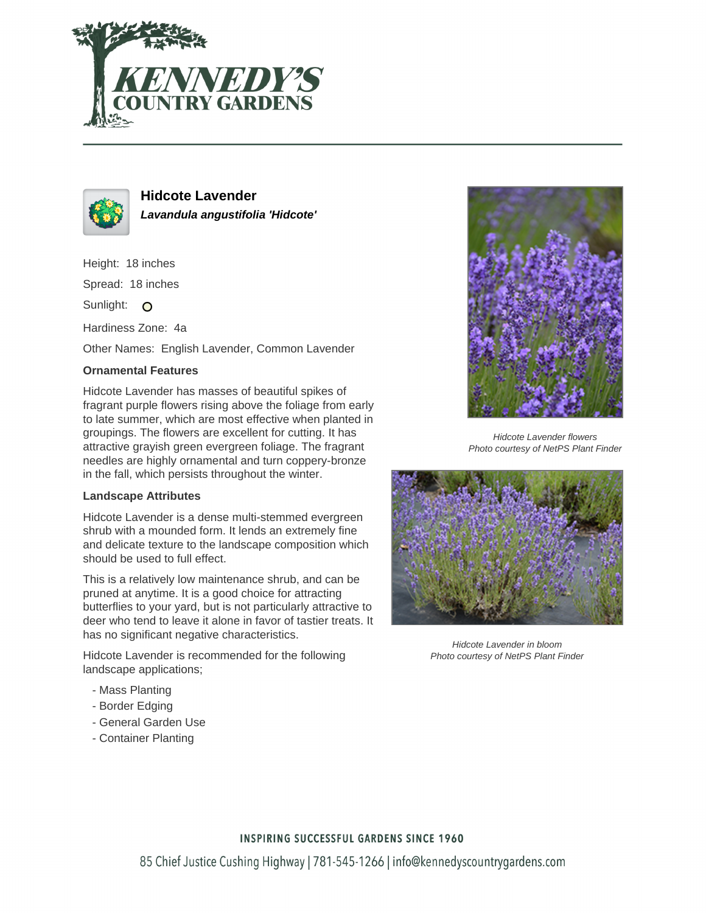



**Hidcote Lavender Lavandula angustifolia 'Hidcote'**

Height: 18 inches Spread: 18 inches Sunlight: O

Hardiness Zone: 4a

Other Names: English Lavender, Common Lavender

## **Ornamental Features**

Hidcote Lavender has masses of beautiful spikes of fragrant purple flowers rising above the foliage from early to late summer, which are most effective when planted in groupings. The flowers are excellent for cutting. It has attractive grayish green evergreen foliage. The fragrant needles are highly ornamental and turn coppery-bronze in the fall, which persists throughout the winter.

## **Landscape Attributes**

Hidcote Lavender is a dense multi-stemmed evergreen shrub with a mounded form. It lends an extremely fine and delicate texture to the landscape composition which should be used to full effect.

This is a relatively low maintenance shrub, and can be pruned at anytime. It is a good choice for attracting butterflies to your yard, but is not particularly attractive to deer who tend to leave it alone in favor of tastier treats. It has no significant negative characteristics.

Hidcote Lavender is recommended for the following landscape applications;

- Mass Planting
- Border Edging
- General Garden Use
- Container Planting



Hidcote Lavender flowers Photo courtesy of NetPS Plant Finder



Hidcote Lavender in bloom Photo courtesy of NetPS Plant Finder